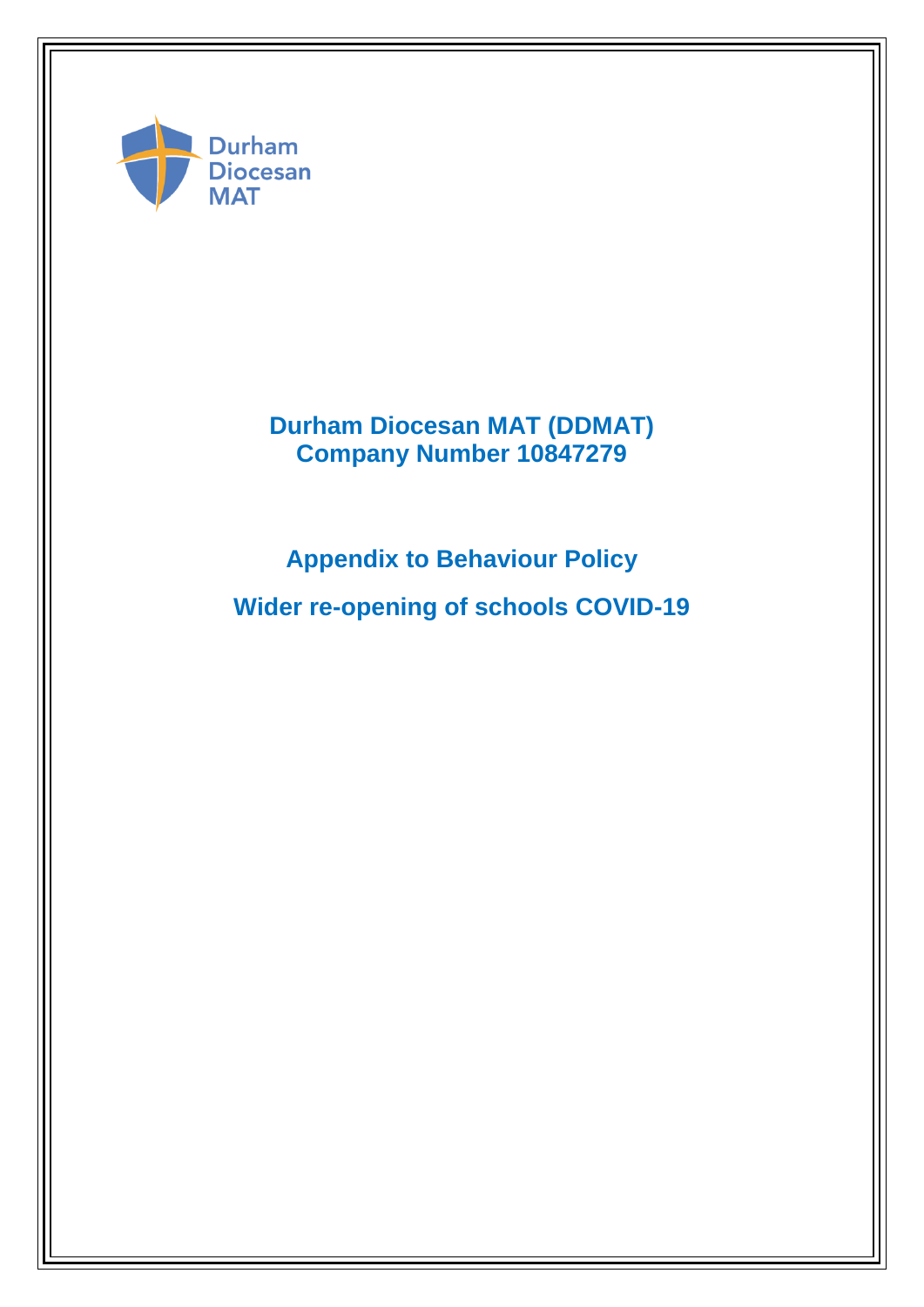

**Durham Diocesan MAT (DDMAT) Company Number 10847279**

**Appendix to Behaviour Policy** 

**Wider re-opening of schools COVID-19**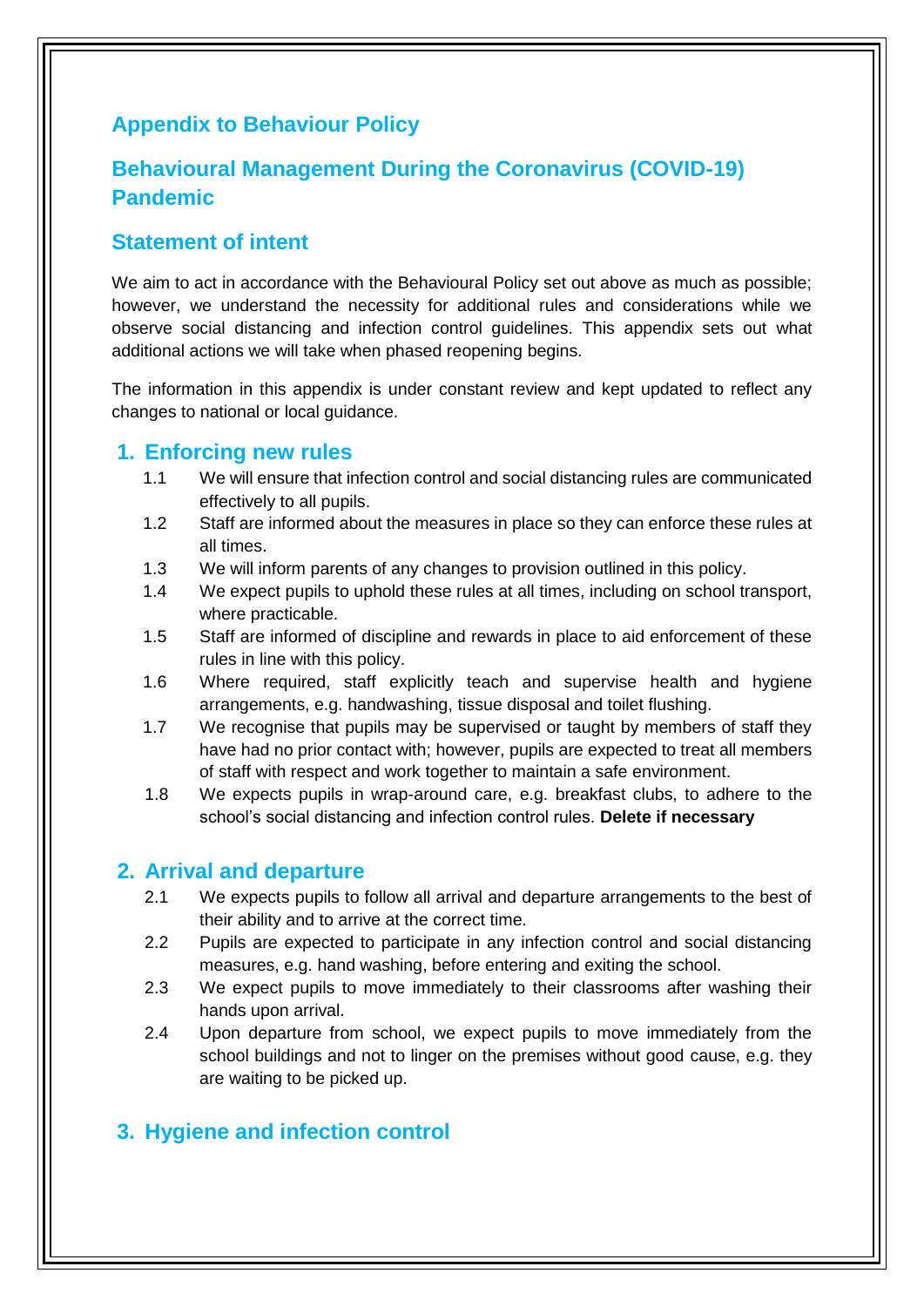# **Appendix to Behaviour Policy**

# **Behavioural Management During the Coronavirus (COVID-19) Pandemic**

### **Statement of intent**

We aim to act in accordance with the Behavioural Policy set out above as much as possible; however, we understand the necessity for additional rules and considerations while we observe social distancing and infection control guidelines. This appendix sets out what additional actions we will take when phased reopening begins.

The information in this appendix is under constant review and kept updated to reflect any changes to national or local guidance.

### **1. Enforcing new rules**

- 1.1 We will ensure that infection control and social distancing rules are communicated effectively to all pupils.
- 1.2 Staff are informed about the measures in place so they can enforce these rules at all times.
- 1.3 We will inform parents of any changes to provision outlined in this policy.
- 1.4 We expect pupils to uphold these rules at all times, including on school transport, where practicable.
- 1.5 Staff are informed of discipline and rewards in place to aid enforcement of these rules in line with this policy.
- 1.6 Where required, staff explicitly teach and supervise health and hygiene arrangements, e.g. handwashing, tissue disposal and toilet flushing.
- 1.7 We recognise that pupils may be supervised or taught by members of staff they have had no prior contact with; however, pupils are expected to treat all members of staff with respect and work together to maintain a safe environment.
- 1.8 We expects pupils in wrap-around care, e.g. breakfast clubs, to adhere to the school's social distancing and infection control rules. **Delete if necessary**

### **2. Arrival and departure**

- 2.1 We expects pupils to follow all arrival and departure arrangements to the best of their ability and to arrive at the correct time.
- 2.2 Pupils are expected to participate in any infection control and social distancing measures, e.g. hand washing, before entering and exiting the school.
- 2.3 We expect pupils to move immediately to their classrooms after washing their hands upon arrival.
- 2.4 Upon departure from school, we expect pupils to move immediately from the school buildings and not to linger on the premises without good cause, e.g. they are waiting to be picked up.

# **3. Hygiene and infection control**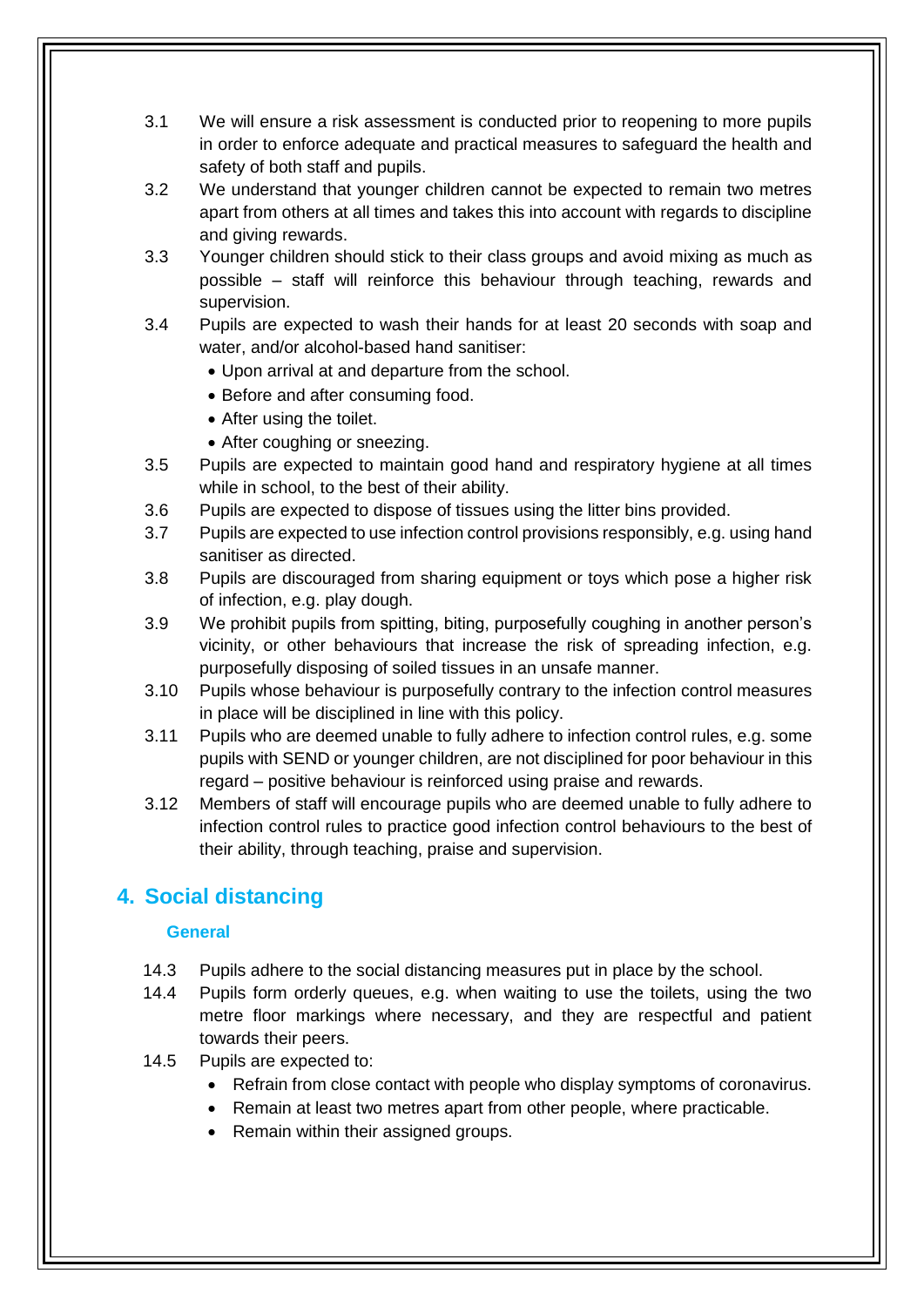- 3.1 We will ensure a risk assessment is conducted prior to reopening to more pupils in order to enforce adequate and practical measures to safeguard the health and safety of both staff and pupils.
- 3.2 We understand that younger children cannot be expected to remain two metres apart from others at all times and takes this into account with regards to discipline and giving rewards.
- 3.3 Younger children should stick to their class groups and avoid mixing as much as possible – staff will reinforce this behaviour through teaching, rewards and supervision.
- 3.4 Pupils are expected to wash their hands for at least 20 seconds with soap and water, and/or alcohol-based hand sanitiser:
	- Upon arrival at and departure from the school.
	- Before and after consuming food.
	- After using the toilet.
	- After coughing or sneezing.
- 3.5 Pupils are expected to maintain good hand and respiratory hygiene at all times while in school, to the best of their ability.
- 3.6 Pupils are expected to dispose of tissues using the litter bins provided.
- 3.7 Pupils are expected to use infection control provisions responsibly, e.g. using hand sanitiser as directed.
- 3.8 Pupils are discouraged from sharing equipment or toys which pose a higher risk of infection, e.g. play dough.
- 3.9 We prohibit pupils from spitting, biting, purposefully coughing in another person's vicinity, or other behaviours that increase the risk of spreading infection, e.g. purposefully disposing of soiled tissues in an unsafe manner.
- 3.10 Pupils whose behaviour is purposefully contrary to the infection control measures in place will be disciplined in line with this policy.
- 3.11 Pupils who are deemed unable to fully adhere to infection control rules, e.g. some pupils with SEND or younger children, are not disciplined for poor behaviour in this regard – positive behaviour is reinforced using praise and rewards.
- 3.12 Members of staff will encourage pupils who are deemed unable to fully adhere to infection control rules to practice good infection control behaviours to the best of their ability, through teaching, praise and supervision.

# **4. Social distancing**

#### **General**

- 14.3 Pupils adhere to the social distancing measures put in place by the school.
- 14.4 Pupils form orderly queues, e.g. when waiting to use the toilets, using the two metre floor markings where necessary, and they are respectful and patient towards their peers.
- 14.5 Pupils are expected to:
	- Refrain from close contact with people who display symptoms of coronavirus.
	- Remain at least two metres apart from other people, where practicable.
	- Remain within their assigned groups.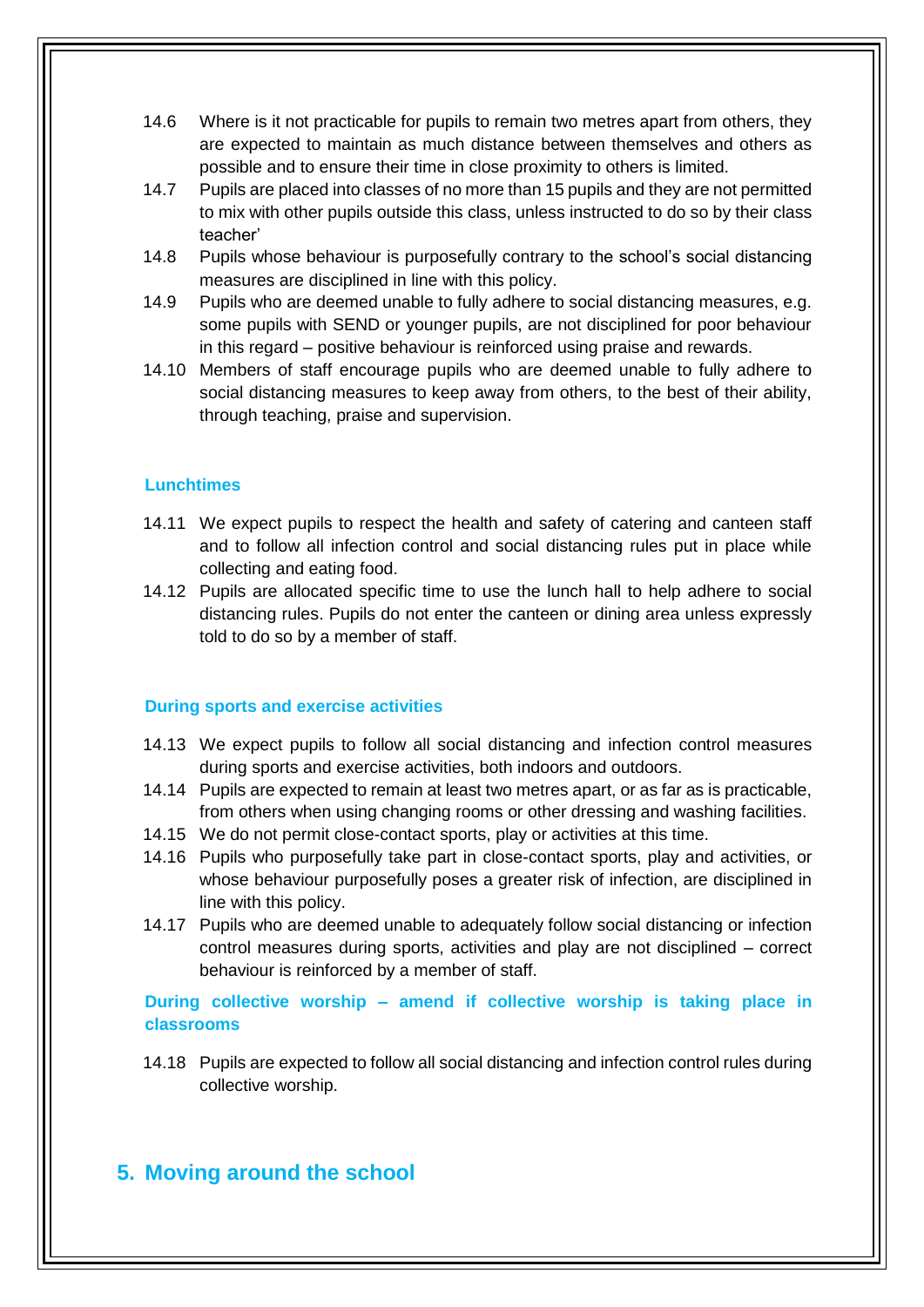- 14.6 Where is it not practicable for pupils to remain two metres apart from others, they are expected to maintain as much distance between themselves and others as possible and to ensure their time in close proximity to others is limited.
- 14.7 Pupils are placed into classes of no more than 15 pupils and they are not permitted to mix with other pupils outside this class, unless instructed to do so by their class teacher'
- 14.8 Pupils whose behaviour is purposefully contrary to the school's social distancing measures are disciplined in line with this policy.
- 14.9 Pupils who are deemed unable to fully adhere to social distancing measures, e.g. some pupils with SEND or younger pupils, are not disciplined for poor behaviour in this regard – positive behaviour is reinforced using praise and rewards.
- 14.10 Members of staff encourage pupils who are deemed unable to fully adhere to social distancing measures to keep away from others, to the best of their ability, through teaching, praise and supervision.

#### **Lunchtimes**

- 14.11 We expect pupils to respect the health and safety of catering and canteen staff and to follow all infection control and social distancing rules put in place while collecting and eating food.
- 14.12 Pupils are allocated specific time to use the lunch hall to help adhere to social distancing rules. Pupils do not enter the canteen or dining area unless expressly told to do so by a member of staff.

#### **During sports and exercise activities**

- 14.13 We expect pupils to follow all social distancing and infection control measures during sports and exercise activities, both indoors and outdoors.
- 14.14 Pupils are expected to remain at least two metres apart, or as far as is practicable, from others when using changing rooms or other dressing and washing facilities.
- 14.15 We do not permit close-contact sports, play or activities at this time.
- 14.16 Pupils who purposefully take part in close-contact sports, play and activities, or whose behaviour purposefully poses a greater risk of infection, are disciplined in line with this policy.
- 14.17 Pupils who are deemed unable to adequately follow social distancing or infection control measures during sports, activities and play are not disciplined – correct behaviour is reinforced by a member of staff.

**During collective worship – amend if collective worship is taking place in classrooms**

14.18 Pupils are expected to follow all social distancing and infection control rules during collective worship.

### **5. Moving around the school**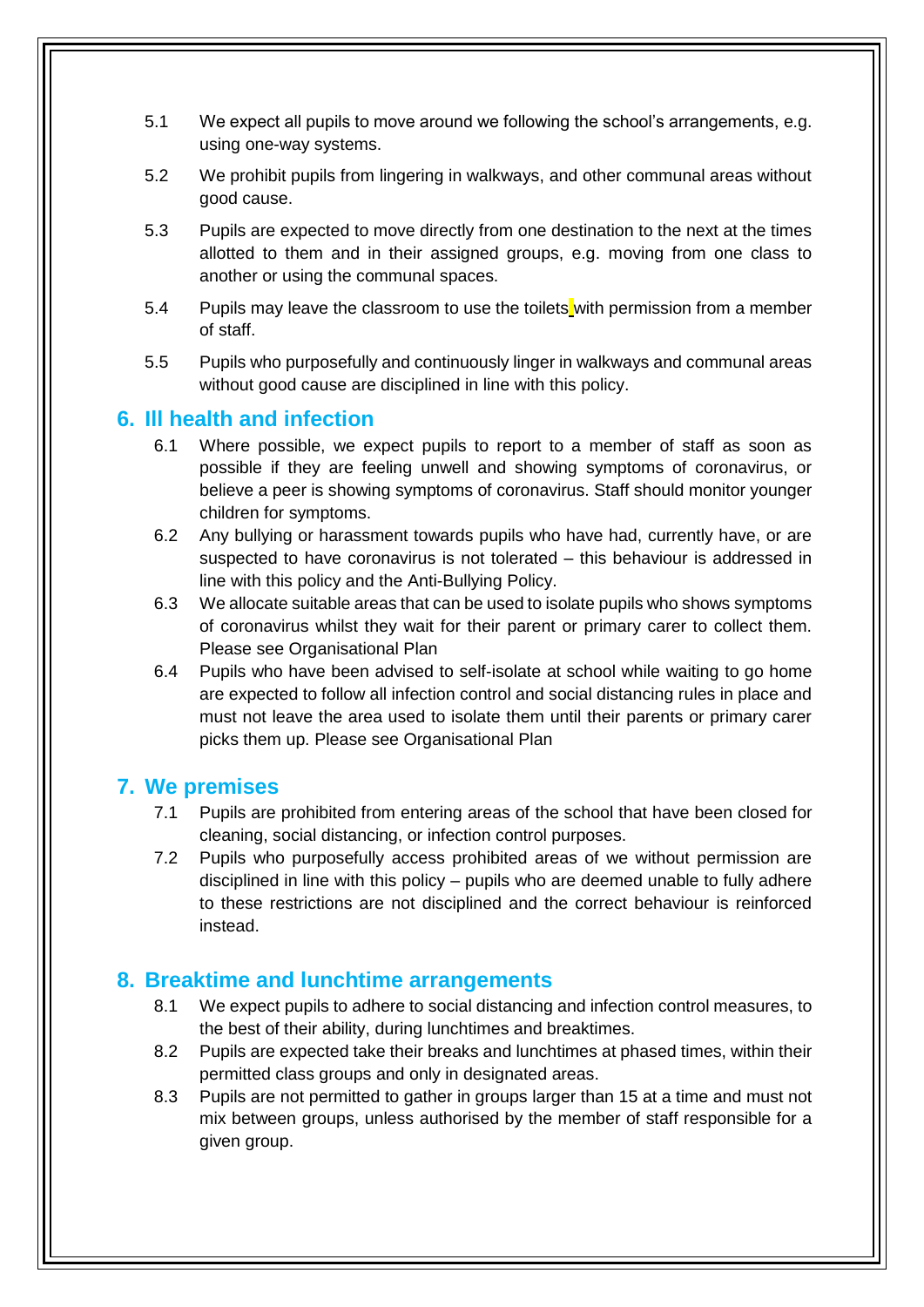- 5.1 We expect all pupils to move around we following the school's arrangements, e.g. using one-way systems.
- 5.2 We prohibit pupils from lingering in walkways, and other communal areas without good cause.
- 5.3 Pupils are expected to move directly from one destination to the next at the times allotted to them and in their assigned groups, e.g. moving from one class to another or using the communal spaces.
- 5.4 Pupils may leave the classroom to use the toilets with permission from a member of staff.
- 5.5 Pupils who purposefully and continuously linger in walkways and communal areas without good cause are disciplined in line with this policy.

### **6. Ill health and infection**

- 6.1 Where possible, we expect pupils to report to a member of staff as soon as possible if they are feeling unwell and showing symptoms of coronavirus, or believe a peer is showing symptoms of coronavirus. Staff should monitor younger children for symptoms.
- 6.2 Any bullying or harassment towards pupils who have had, currently have, or are suspected to have coronavirus is not tolerated – this behaviour is addressed in line with this policy and the Anti-Bullying Policy.
- 6.3 We allocate suitable areas that can be used to isolate pupils who shows symptoms of coronavirus whilst they wait for their parent or primary carer to collect them. Please see Organisational Plan
- 6.4 Pupils who have been advised to self-isolate at school while waiting to go home are expected to follow all infection control and social distancing rules in place and must not leave the area used to isolate them until their parents or primary carer picks them up. Please see Organisational Plan

### **7. We premises**

- 7.1 Pupils are prohibited from entering areas of the school that have been closed for cleaning, social distancing, or infection control purposes.
- 7.2 Pupils who purposefully access prohibited areas of we without permission are disciplined in line with this policy – pupils who are deemed unable to fully adhere to these restrictions are not disciplined and the correct behaviour is reinforced instead.

### **8. Breaktime and lunchtime arrangements**

- 8.1 We expect pupils to adhere to social distancing and infection control measures, to the best of their ability, during lunchtimes and breaktimes.
- 8.2 Pupils are expected take their breaks and lunchtimes at phased times, within their permitted class groups and only in designated areas.
- 8.3 Pupils are not permitted to gather in groups larger than 15 at a time and must not mix between groups, unless authorised by the member of staff responsible for a given group.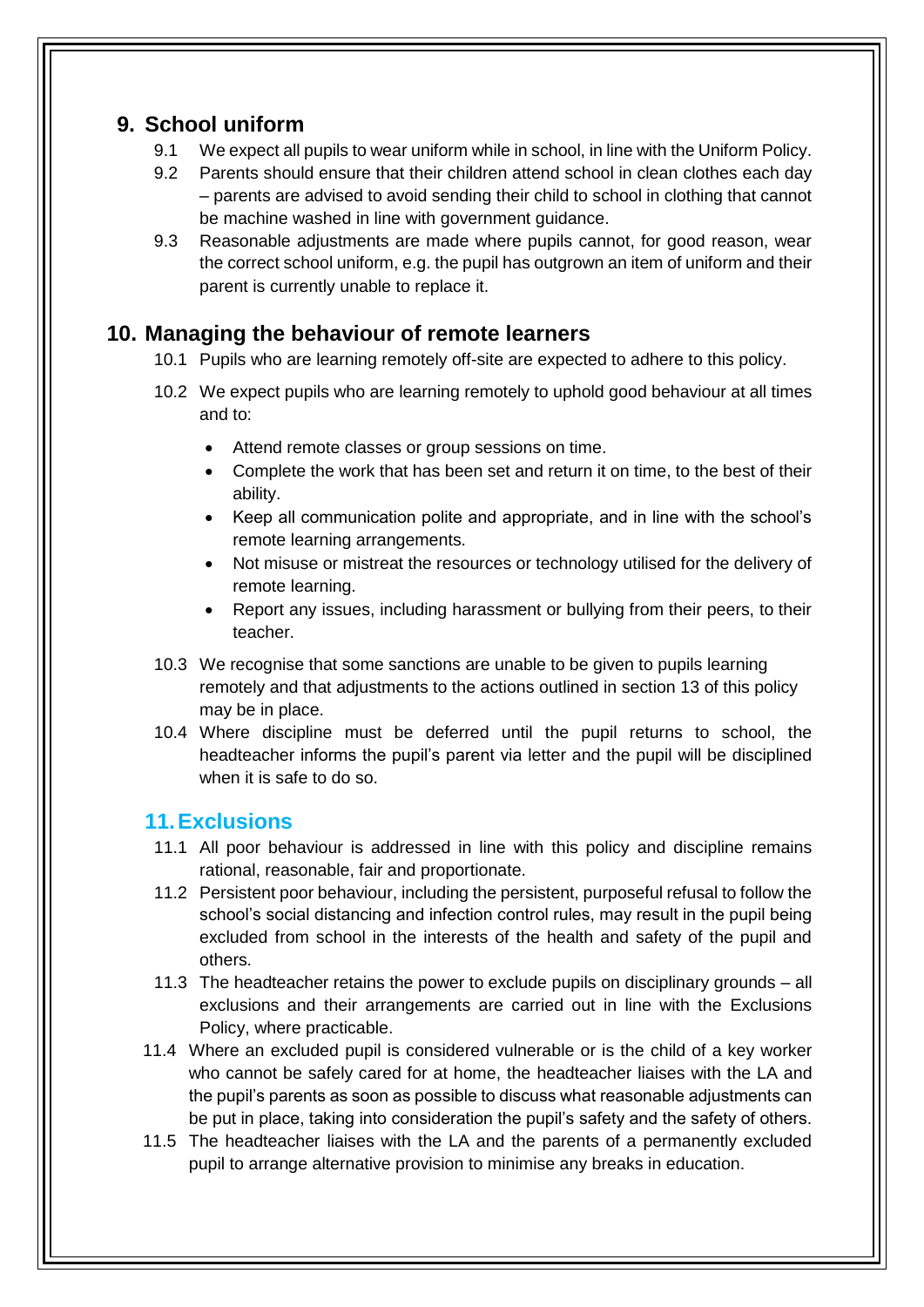## **9. School uniform**

- 9.1 We expect all pupils to wear uniform while in school, in line with the Uniform Policy.
- 9.2 Parents should ensure that their children attend school in clean clothes each day – parents are advised to avoid sending their child to school in clothing that cannot be machine washed in line with government guidance.
- 9.3 Reasonable adjustments are made where pupils cannot, for good reason, wear the correct school uniform, e.g. the pupil has outgrown an item of uniform and their parent is currently unable to replace it.

## **10. Managing the behaviour of remote learners**

- 10.1 Pupils who are learning remotely off-site are expected to adhere to this policy.
- 10.2 We expect pupils who are learning remotely to uphold good behaviour at all times and to:
	- Attend remote classes or group sessions on time.
	- Complete the work that has been set and return it on time, to the best of their ability.
	- Keep all communication polite and appropriate, and in line with the school's remote learning arrangements.
	- Not misuse or mistreat the resources or technology utilised for the delivery of remote learning.
	- Report any issues, including harassment or bullying from their peers, to their teacher.
- 10.3 We recognise that some sanctions are unable to be given to pupils learning remotely and that adjustments to the actions outlined in section 13 of this policy may be in place.
- 10.4 Where discipline must be deferred until the pupil returns to school, the headteacher informs the pupil's parent via letter and the pupil will be disciplined when it is safe to do so.

### **11.Exclusions**

- 11.1 All poor behaviour is addressed in line with this policy and discipline remains rational, reasonable, fair and proportionate.
- 11.2 Persistent poor behaviour, including the persistent, purposeful refusal to follow the school's social distancing and infection control rules, may result in the pupil being excluded from school in the interests of the health and safety of the pupil and others.
- 11.3 The headteacher retains the power to exclude pupils on disciplinary grounds all exclusions and their arrangements are carried out in line with the Exclusions Policy, where practicable.
- 11.4 Where an excluded pupil is considered vulnerable or is the child of a key worker who cannot be safely cared for at home, the headteacher liaises with the LA and the pupil's parents as soon as possible to discuss what reasonable adjustments can be put in place, taking into consideration the pupil's safety and the safety of others.
- 11.5 The headteacher liaises with the LA and the parents of a permanently excluded pupil to arrange alternative provision to minimise any breaks in education.